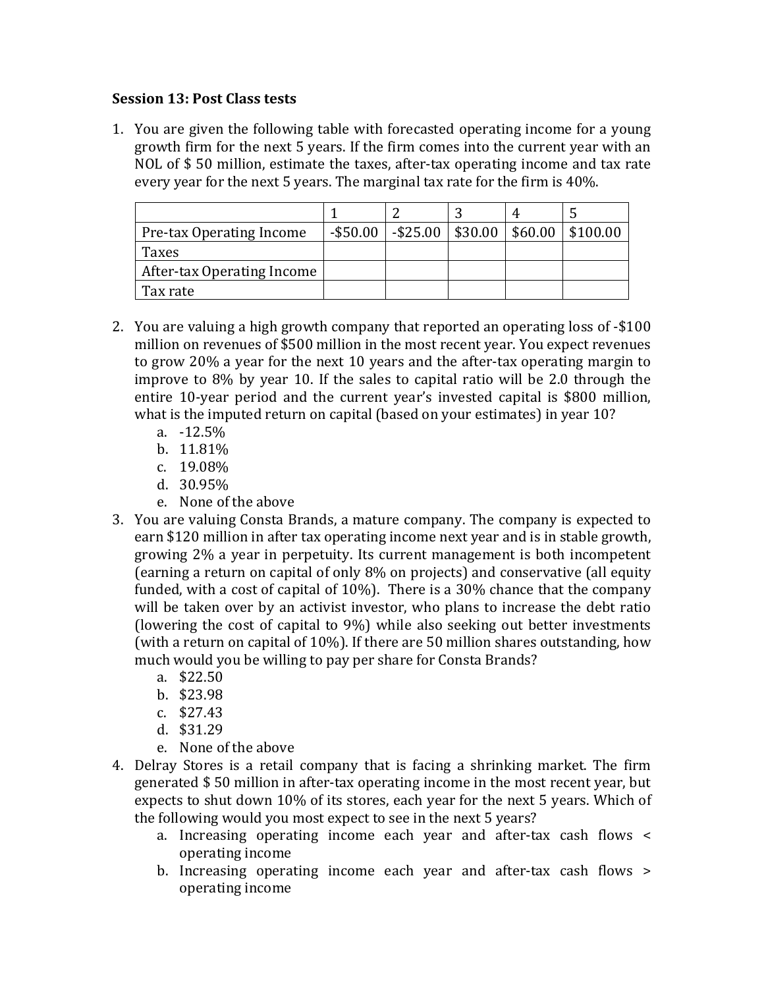## **Session 13: Post Class tests**

1. You are given the following table with forecasted operating income for a young growth firm for the next 5 years. If the firm comes into the current year with an NOL of  $$50$  million, estimate the taxes, after-tax operating income and tax rate every year for the next 5 years. The marginal tax rate for the firm is 40%.

| Pre-tax Operating Income   | $-$ \$50.00 | $-$ \$25.00 | \$30.00 | \$60.00 | \$100.00 |
|----------------------------|-------------|-------------|---------|---------|----------|
| Taxes                      |             |             |         |         |          |
| After-tax Operating Income |             |             |         |         |          |
| Tax rate                   |             |             |         |         |          |

- 2. You are valuing a high growth company that reported an operating loss of -\$100 million on revenues of \$500 million in the most recent year. You expect revenues to grow 20% a year for the next 10 years and the after-tax operating margin to improve to  $8\%$  by year 10. If the sales to capital ratio will be 2.0 through the entire 10-year period and the current year's invested capital is \$800 million, what is the imputed return on capital (based on your estimates) in year  $10$ ?
	- a. -12.5%
	- b. 11.81%
	- c. 19.08%
	- d. 30.95%
	- e. None of the above
- 3. You are valuing Consta Brands, a mature company. The company is expected to earn \$120 million in after tax operating income next year and is in stable growth, growing 2% a year in perpetuity. Its current management is both incompetent (earning a return on capital of only 8% on projects) and conservative (all equity funded, with a cost of capital of  $10\%$ ). There is a 30% chance that the company will be taken over by an activist investor, who plans to increase the debt ratio (lowering the cost of capital to  $9\%$ ) while also seeking out better investments (with a return on capital of  $10\%$ ). If there are 50 million shares outstanding, how much would you be willing to pay per share for Consta Brands?
	- a. \$22.50
	- b. \$23.98
	- c. \$27.43
	- d. \$31.29
	- e. None of the above
- 4. Delray Stores is a retail company that is facing a shrinking market. The firm generated  $$50$  million in after-tax operating income in the most recent year, but expects to shut down 10% of its stores, each year for the next 5 years. Which of the following would you most expect to see in the next 5 years?
	- a. Increasing operating income each year and after-tax cash flows < operating income
	- b. Increasing operating income each year and after-tax cash flows > operating income